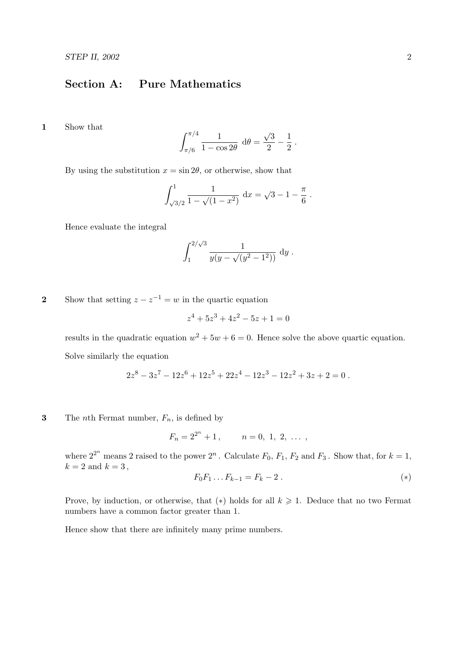## Section A: Pure Mathematics

1 Show that

$$
\int_{\pi/6}^{\pi/4} \frac{1}{1 - \cos 2\theta} \, d\theta = \frac{\sqrt{3}}{2} - \frac{1}{2} \, .
$$

By using the substitution  $x = \sin 2\theta$ , or otherwise, show that

$$
\int_{\sqrt{3}/2}^{1} \frac{1}{1 - \sqrt{(1 - x^2)}} \, \mathrm{d}x = \sqrt{3} - 1 - \frac{\pi}{6} \, .
$$

Hence evaluate the integral

$$
\int_1^{2/\sqrt{3}} \frac{1}{y(y-\sqrt{(y^2-1^2)})} \, \mathrm{d}y \, .
$$

2 Show that setting  $z - z^{-1} = w$  in the quartic equation

$$
z^4 + 5z^3 + 4z^2 - 5z + 1 = 0
$$

results in the quadratic equation  $w^2 + 5w + 6 = 0$ . Hence solve the above quartic equation. Solve similarly the equation

$$
2z8 - 3z7 - 12z6 + 12z5 + 22z4 - 12z3 - 12z2 + 3z + 2 = 0.
$$

**3** The *n*th Fermat number,  $F_n$ , is defined by

$$
F_n = 2^{2^n} + 1, \qquad n = 0, 1, 2, \ldots,
$$

where  $2^{2^n}$  means 2 raised to the power  $2^n$ . Calculate  $F_0$ ,  $F_1$ ,  $F_2$  and  $F_3$ . Show that, for  $k=1$ ,  $k = 2$  and  $k = 3$ ,

$$
F_0 F_1 \dots F_{k-1} = F_k - 2 \tag{*}
$$

Prove, by induction, or otherwise, that (\*) holds for all  $k \geq 1$ . Deduce that no two Fermat numbers have a common factor greater than 1.

Hence show that there are infinitely many prime numbers.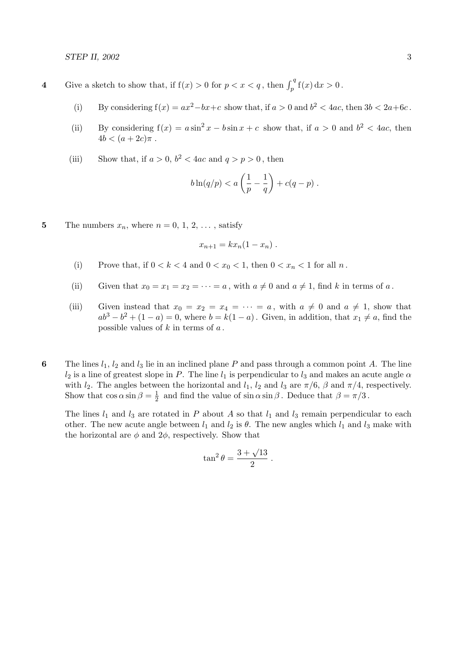- 4 Give a sketch to show that, if  $f(x) > 0$  for  $p < x < q$ , then  $\int_p^q f(x) dx > 0$ .
	- (i) By considering  $f(x) = ax^2 bx + c$  show that, if  $a > 0$  and  $b^2 < 4ac$ , then  $3b < 2a + 6c$ .
	- (ii) By considering  $f(x) = a \sin^2 x b \sin x + c$  show that, if  $a > 0$  and  $b^2 < 4ac$ , then  $4b < (a + 2c)\pi$ .
	- (iii) Show that, if  $a > 0$ ,  $b^2 < 4ac$  and  $q > p > 0$ , then

$$
b\ln(q/p) < a\left(\frac{1}{p} - \frac{1}{q}\right) + c(q - p) \; .
$$

5 The numbers  $x_n$ , where  $n = 0, 1, 2, \ldots$ , satisfy

$$
x_{n+1} = kx_n(1 - x_n) .
$$

- (i) Prove that, if  $0 < k < 4$  and  $0 < x_0 < 1$ , then  $0 < x_n < 1$  for all n.
- (ii) Given that  $x_0 = x_1 = x_2 = \cdots = a$ , with  $a \neq 0$  and  $a \neq 1$ , find k in terms of a.
- (iii) Given instead that  $x_0 = x_2 = x_4 = \cdots = a$ , with  $a \neq 0$  and  $a \neq 1$ , show that  $ab<sup>3</sup> - b<sup>2</sup> + (1 - a) = 0$ , where  $b = k(1 - a)$ . Given, in addition, that  $x<sub>1</sub> \neq a$ , find the possible values of  $k$  in terms of  $a$ .
- 6 The lines  $l_1, l_2$  and  $l_3$  lie in an inclined plane P and pass through a common point A. The line  $l_2$  is a line of greatest slope in P. The line  $l_1$  is perpendicular to  $l_3$  and makes an acute angle  $\alpha$ with  $l_2$ . The angles between the horizontal and  $l_1$ ,  $l_2$  and  $l_3$  are  $\pi/6$ ,  $\beta$  and  $\pi/4$ , respectively. Show that  $\cos \alpha \sin \beta = \frac{1}{2}$  $\frac{1}{2}$  and find the value of sin  $\alpha \sin \beta$ . Deduce that  $\beta = \pi/3$ .

The lines  $l_1$  and  $l_3$  are rotated in P about A so that  $l_1$  and  $l_3$  remain perpendicular to each other. The new acute angle between  $l_1$  and  $l_2$  is  $\theta$ . The new angles which  $l_1$  and  $l_3$  make with the horizontal are  $\phi$  and  $2\phi$ , respectively. Show that

$$
\tan^2\theta = \frac{3+\sqrt{13}}{2} \; .
$$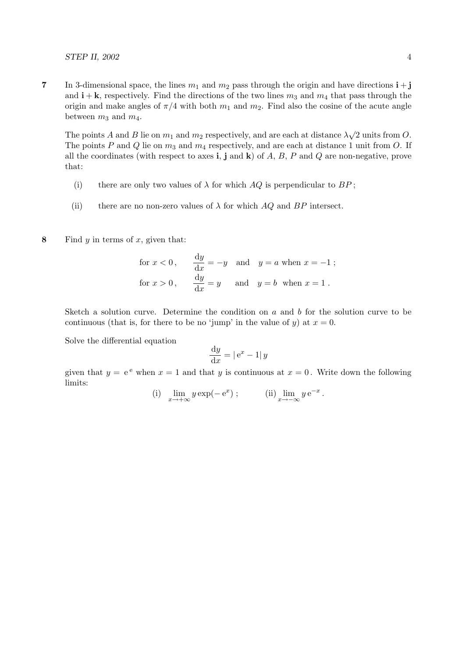STEP II,  $2002$  4

7 In 3-dimensional space, the lines  $m_1$  and  $m_2$  pass through the origin and have directions  $\mathbf{i} + \mathbf{j}$ and  $\mathbf{i} + \mathbf{k}$ , respectively. Find the directions of the two lines  $m_3$  and  $m_4$  that pass through the origin and make angles of  $\pi/4$  with both  $m_1$  and  $m_2$ . Find also the cosine of the acute angle between  $m_3$  and  $m_4$ .

The points A and B lie on  $m_1$  and  $m_2$  respectively, and are each at distance  $\lambda\sqrt{2}$  units from O. The points P and Q lie on  $m_3$  and  $m_4$  respectively, and are each at distance 1 unit from O. If all the coordinates (with respect to axes i, j and k) of  $A, B, P$  and  $Q$  are non-negative, prove that:

- (i) there are only two values of  $\lambda$  for which  $AQ$  is perpendicular to  $BP$ ;
- (ii) there are no non-zero values of  $\lambda$  for which AQ and BP intersect.
- 8 Find  $y$  in terms of  $x$ , given that:

for 
$$
x < 0
$$
,  $\frac{dy}{dx} = -y$  and  $y = a$  when  $x = -1$ ;  
for  $x > 0$ ,  $\frac{dy}{dx} = y$  and  $y = b$  when  $x = 1$ .

Sketch a solution curve. Determine the condition on  $a$  and  $b$  for the solution curve to be continuous (that is, for there to be no 'jump' in the value of y) at  $x = 0$ .

Solve the differential equation

$$
\frac{\mathrm{d}y}{\mathrm{d}x} = |\,\mathrm{e}^x - 1|\,y
$$

given that  $y = e^e$  when  $x = 1$  and that y is continuous at  $x = 0$ . Write down the following limits:

(i) 
$$
\lim_{x \to +\infty} y \exp(-e^x)
$$
; (ii)  $\lim_{x \to -\infty} y e^{-x}$ .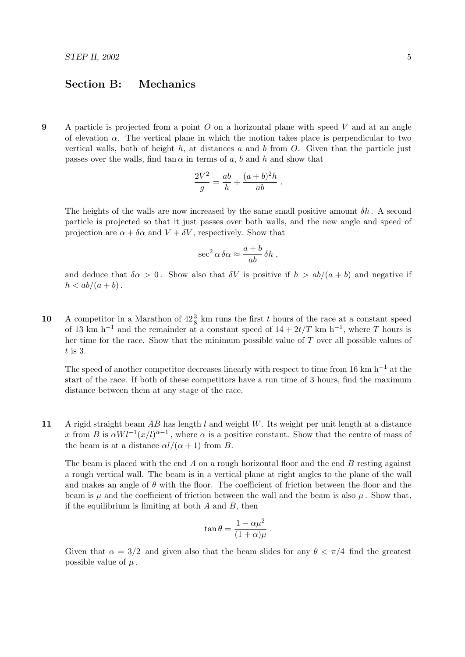## Section B: Mechanics

9 A particle is projected from a point  $O$  on a horizontal plane with speed V and at an angle of elevation  $\alpha$ . The vertical plane in which the motion takes place is perpendicular to two vertical walls, both of height  $h$ , at distances  $a$  and  $b$  from  $O$ . Given that the particle just passes over the walls, find  $\tan \alpha$  in terms of a, b and h and show that

$$
\frac{2V^2}{g} = \frac{ab}{h} + \frac{(a+b)^2h}{ab}.
$$

The heights of the walls are now increased by the same small positive amount  $\delta h$ . A second particle is projected so that it just passes over both walls, and the new angle and speed of projection are  $\alpha + \delta \alpha$  and  $V + \delta V$ , respectively. Show that

$$
\sec^2 \alpha \, \delta \alpha \approx \frac{a+b}{ab} \, \delta h \;,
$$

and deduce that  $\delta \alpha > 0$ . Show also that  $\delta V$  is positive if  $h > ab/(a + b)$  and negative if  $h < ab/(a + b)$ .

10 A competitor in a Marathon of  $42\frac{3}{8}$  km runs the first t hours of the race at a constant speed of 13 km h<sup>-1</sup> and the remainder at a constant speed of  $14 + 2t/T$  km h<sup>-1</sup>, where T hours is her time for the race. Show that the minimum possible value of  $T$  over all possible values of  $t$  is 3.

The speed of another competitor decreases linearly with respect to time from 16 km h<sup>-1</sup> at the start of the race. If both of these competitors have a run time of 3 hours, find the maximum distance between them at any stage of the race.

11 A rigid straight beam AB has length l and weight W. Its weight per unit length at a distance x from B is  $\alpha Wl^{-1}(x/l)^{\alpha-1}$ , where  $\alpha$  is a positive constant. Show that the centre of mass of the beam is at a distance  $\alpha l/(\alpha + 1)$  from B.

The beam is placed with the end  $\vec{A}$  on a rough horizontal floor and the end  $\vec{B}$  resting against a rough vertical wall. The beam is in a vertical plane at right angles to the plane of the wall and makes an angle of  $\theta$  with the floor. The coefficient of friction between the floor and the beam is  $\mu$  and the coefficient of friction between the wall and the beam is also  $\mu$ . Show that, if the equilibrium is limiting at both  $A$  and  $B$ , then

$$
\tan \theta = \frac{1 - \alpha \mu^2}{(1 + \alpha)\mu}
$$

.

Given that  $\alpha = 3/2$  and given also that the beam slides for any  $\theta < \pi/4$  find the greatest possible value of  $\mu$ .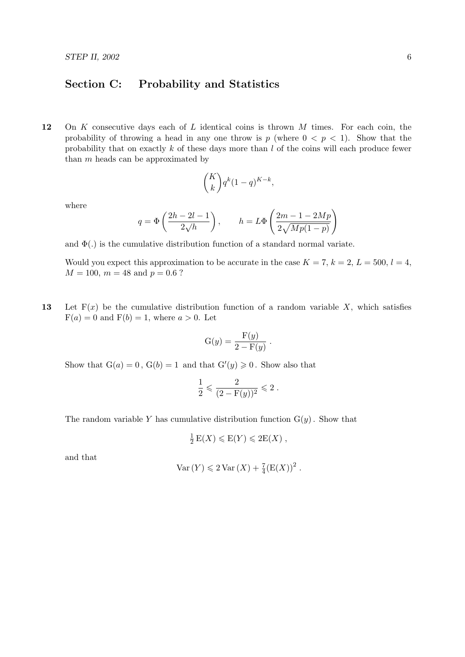## Section C: Probability and Statistics

12 On K consecutive days each of  $L$  identical coins is thrown  $M$  times. For each coin, the probability of throwing a head in any one throw is p (where  $0 < p < 1$ ). Show that the probability that on exactly  $k$  of these days more than  $l$  of the coins will each produce fewer than  $m$  heads can be approximated by

$$
\binom{K}{k} q^k (1-q)^{K-k},
$$

where

$$
q = \Phi\left(\frac{2h - 2l - 1}{2\sqrt{h}}\right), \qquad h = L\Phi\left(\frac{2m - 1 - 2Mp}{2\sqrt{Mp(1 - p)}}\right)
$$

and  $\Phi(.)$  is the cumulative distribution function of a standard normal variate.

Would you expect this approximation to be accurate in the case  $K = 7$ ,  $k = 2$ ,  $L = 500$ ,  $l = 4$ ,  $M = 100$ ,  $m = 48$  and  $p = 0.6$ ?

13 Let  $F(x)$  be the cumulative distribution function of a random variable X, which satisfies  $F(a) = 0$  and  $F(b) = 1$ , where  $a > 0$ . Let

$$
G(y) = \frac{F(y)}{2 - F(y)}.
$$

Show that  $G(a) = 0$ ,  $G(b) = 1$  and that  $G'(y) \ge 0$ . Show also that

$$
\frac{1}{2} \leqslant \frac{2}{(2 - F(y))^2} \leqslant 2.
$$

The random variable Y has cumulative distribution function  $G(y)$ . Show that

$$
\frac{1}{2} E(X) \leqslant E(Y) \leqslant 2E(X) ,
$$

and that

$$
Var(Y) \leq 2 Var(X) + \frac{7}{4} (E(X))^2.
$$